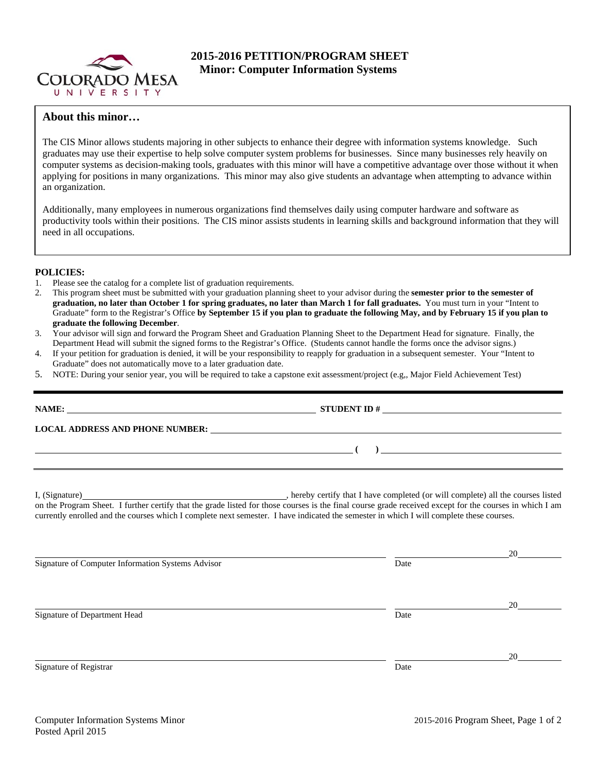

# **2015-2016 PETITION/PROGRAM SHEET Minor: Computer Information Systems**

# **About this minor…**

The CIS Minor allows students majoring in other subjects to enhance their degree with information systems knowledge. Such graduates may use their expertise to help solve computer system problems for businesses. Since many businesses rely heavily on computer systems as decision-making tools, graduates with this minor will have a competitive advantage over those without it when applying for positions in many organizations. This minor may also give students an advantage when attempting to advance within an organization.

Additionally, many employees in numerous organizations find themselves daily using computer hardware and software as productivity tools within their positions. The CIS minor assists students in learning skills and background information that they will need in all occupations.

### **POLICIES:**

- 1. Please see the catalog for a complete list of graduation requirements.
- 2. This program sheet must be submitted with your graduation planning sheet to your advisor during the **semester prior to the semester of graduation, no later than October 1 for spring graduates, no later than March 1 for fall graduates.** You must turn in your "Intent to Graduate" form to the Registrar's Office **by September 15 if you plan to graduate the following May, and by February 15 if you plan to graduate the following December**.
- 3. Your advisor will sign and forward the Program Sheet and Graduation Planning Sheet to the Department Head for signature. Finally, the Department Head will submit the signed forms to the Registrar's Office. (Students cannot handle the forms once the advisor signs.)
- 4. If your petition for graduation is denied, it will be your responsibility to reapply for graduation in a subsequent semester. Your "Intent to Graduate" does not automatically move to a later graduation date.
- 5. NOTE: During your senior year, you will be required to take a capstone exit assessment/project (e.g,, Major Field Achievement Test)

| LOCAL ADDRESS AND PHONE NUMBER: Under the contract of the contract of the contract of the contract of the contract of the contract of the contract of the contract of the contract of the contract of the contract of the cont                                                                      |      |    |  |  |  |  |
|-----------------------------------------------------------------------------------------------------------------------------------------------------------------------------------------------------------------------------------------------------------------------------------------------------|------|----|--|--|--|--|
| $\overline{a}$ ( ) and the contract of $\overline{a}$ ( ) and the contract of $\overline{a}$ ( ) and $\overline{a}$ ( ) and $\overline{a}$ ( ) and $\overline{a}$ ( ) and $\overline{a}$ ( ) and $\overline{a}$ ( ) and $\overline{a}$ ( ) and $\overline{a}$ ( ) and $\overline{a}$ ( ) and $\$    |      |    |  |  |  |  |
| on the Program Sheet. I further certify that the grade listed for those courses is the final course grade received except for the courses in which I am<br>currently enrolled and the courses which I complete next semester. I have indicated the semester in which I will complete these courses. |      |    |  |  |  |  |
| Signature of Computer Information Systems Advisor                                                                                                                                                                                                                                                   | Date | 20 |  |  |  |  |
| Signature of Department Head                                                                                                                                                                                                                                                                        | Date | 20 |  |  |  |  |
| Signature of Registrar                                                                                                                                                                                                                                                                              | Date | 20 |  |  |  |  |